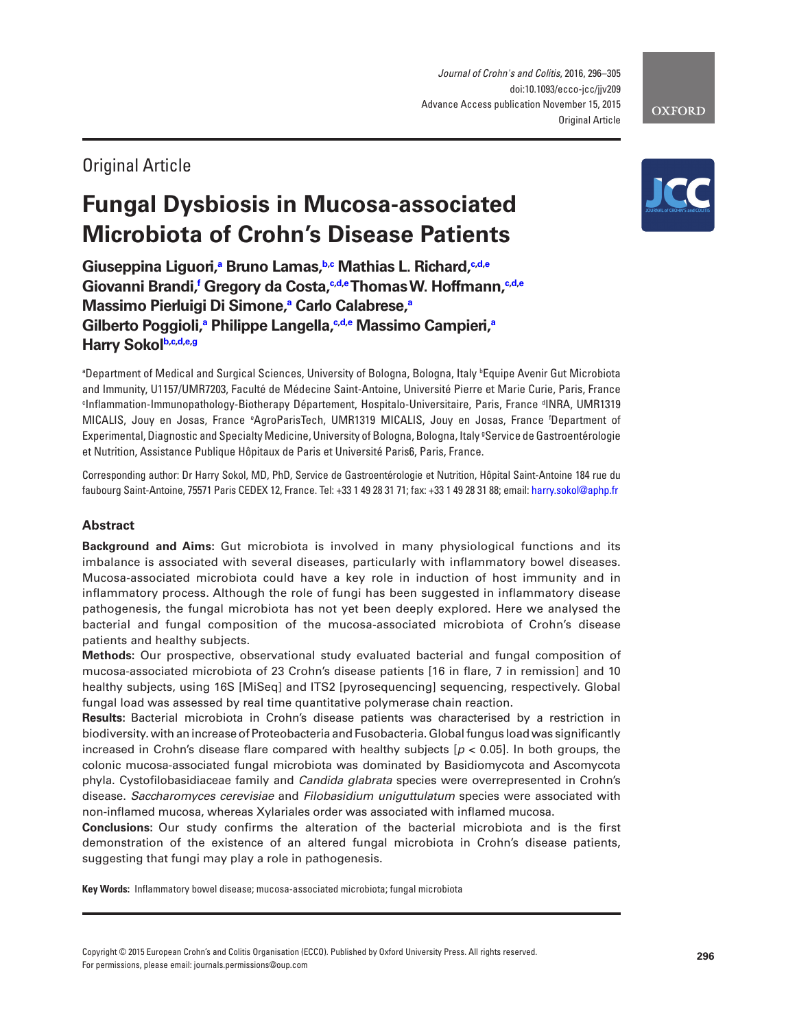*Journal of Crohn's and Colitis*, 2016, 296–305 doi:10.1093/ecco-jcc/jjv209 Advance Access publication November 15, 2015 Original Article

## Original Article

# **Fungal Dysbiosis in Mucosa-associated Microbiota of Crohn's Disease Patients**

 $\bf G$ ius[e](#page-0-4)ppina Liguori, $\bf^a$  Bruno Lamas, $\bf^{b,c}$  $\bf^{b,c}$  $\bf^{b,c}$  Mathias L. Richard, $\bf^{c,d,e}$  $\bf^{c,d,e}$  $\bf^{c,d,e}$  $\bf G$ iovanni Bran[d](#page-0-3)i,<sup>f</sup> Gregory da Costa, $\bf{^{\text{c,d,e}}}$  $\bf{^{\text{c,d,e}}}$  $\bf{^{\text{c,d,e}}}$  $\bf{^{\text{c,d,e}}}$  $\bf{^{\text{c,d,e}}}$ Thomas $\bf{W}$ . Hoffmann, $\bf{^{\text{c,d,e}}}$  $\bf{^{\text{c,d,e}}}$  $\bf{^{\text{c,d,e}}}$ **Massimo Pierluigi Di Simone,[a](#page-0-0) Carlo Calabrese[,a](#page-0-0)**  ${\mathsf G}$ ilberto Poggioli,ª Philippe Langella,<sup>c[,d](#page-0-3)[,e](#page-0-4)</sup> Massimo Campieri,ª **Harry Sokol[b](#page-0-1)[,c](#page-0-2)[,d,](#page-0-3)[e,](#page-0-4)[g](#page-0-6)**

<span id="page-0-4"></span><span id="page-0-3"></span><span id="page-0-2"></span><span id="page-0-1"></span><span id="page-0-0"></span>ªDepartment of Medical and Surgical Sciences, University of Bologna, Bologna, Italy <sup>ь</sup>Equipe Avenir Gut Microbiota and Immunity, U1157/UMR7203, Faculté de Médecine Saint-Antoine, Université Pierre et Marie Curie, Paris, France c Inflammation-Immunopathology-Biotherapy Département, Hospitalo-Universitaire, Paris, France d INRA, UMR1319 MICALIS, Jouy en Josas, France e AgroParisTech, UMR1319 MICALIS, Jouy en Josas, France f Department of Experimental, Diagnostic and Specialty Medicine, University of Bologna, Bologna, Italy <sup>g</sup>Service de Gastroentérologie et Nutrition, Assistance Publique Hôpitaux de Paris et Université Paris6, Paris, France.

<span id="page-0-6"></span>Corresponding author: Dr Harry Sokol, MD, PhD, Service de Gastroentérologie et Nutrition, Hôpital Saint-Antoine 184 rue du faubourg Saint-Antoine, 75571 Paris CEDEX 12, France. Tel: +33 1 49 28 31 71; fax: +33 1 49 28 31 88; email: [harry.sokol@aphp.fr](mailto:harry.sokol@aphp.fr?subject=)

## **Abstract**

**Background and Aims:** Gut microbiota is involved in many physiological functions and its imbalance is associated with several diseases, particularly with inflammatory bowel diseases. Mucosa-associated microbiota could have a key role in induction of host immunity and in inflammatory process. Although the role of fungi has been suggested in inflammatory disease pathogenesis, the fungal microbiota has not yet been deeply explored. Here we analysed the bacterial and fungal composition of the mucosa-associated microbiota of Crohn's disease patients and healthy subjects.

**Methods:** Our prospective, observational study evaluated bacterial and fungal composition of mucosa-associated microbiota of 23 Crohn's disease patients [16 in flare, 7 in remission] and 10 healthy subjects, using 16S [MiSeq] and ITS2 [pyrosequencing] sequencing, respectively. Global fungal load was assessed by real time quantitative polymerase chain reaction.

**Results:** Bacterial microbiota in Crohn's disease patients was characterised by a restriction in biodiversity. with an increase of Proteobacteria and Fusobacteria. Global fungus load was significantly increased in Crohn's disease flare compared with healthy subjects [*p* < 0.05]. In both groups, the colonic mucosa-associated fungal microbiota was dominated by Basidiomycota and Ascomycota phyla. Cystofilobasidiaceae family and *Candida glabrata* species were overrepresented in Crohn's disease. *Saccharomyces cerevisiae* and *Filobasidium uniguttulatum* species were associated with non-inflamed mucosa, whereas Xylariales order was associated with inflamed mucosa.

**Conclusions:** Our study confirms the alteration of the bacterial microbiota and is the first demonstration of the existence of an altered fungal microbiota in Crohn's disease patients, suggesting that fungi may play a role in pathogenesis.

**Key Words:** Inflammatory bowel disease; mucosa-associated microbiota; fungal microbiota

Copyright © 2015 European Crohn's and Colitis Organisation (ECCO). Published by Oxford University Press. All rights reserved. For permissions, please email: journals.permissions@oup.com

<span id="page-0-5"></span>

**OXFORD**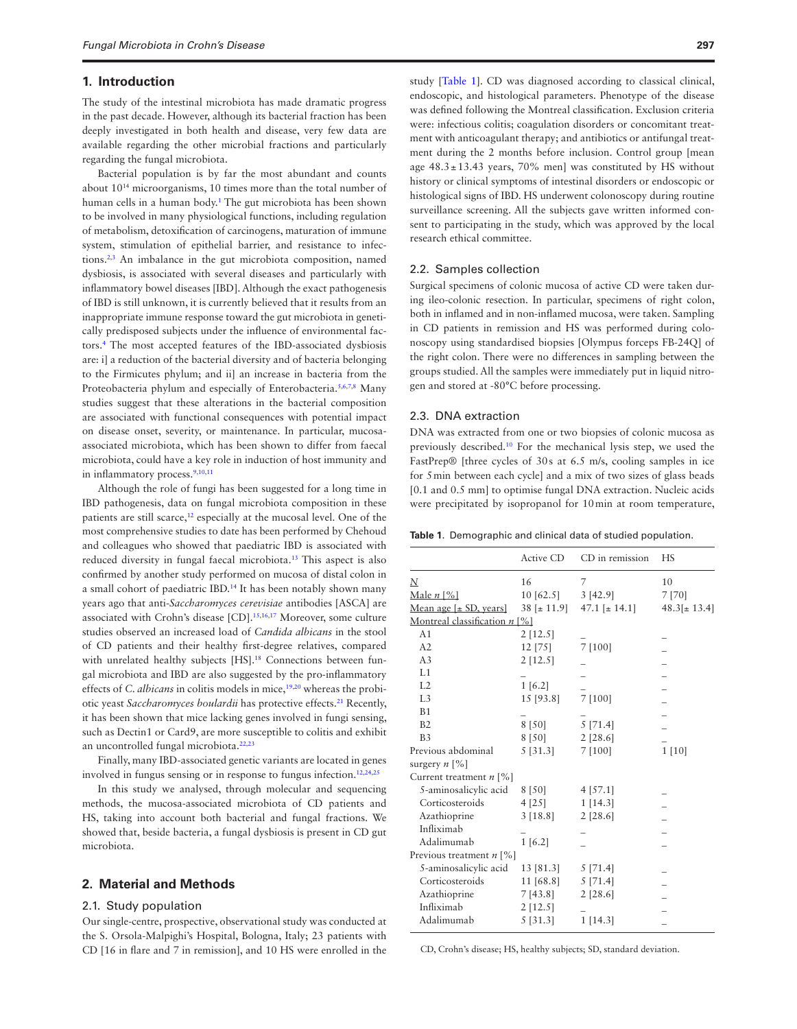#### **1. Introduction**

The study of the intestinal microbiota has made dramatic progress in the past decade. However, although its bacterial fraction has been deeply investigated in both health and disease, very few data are available regarding the other microbial fractions and particularly regarding the fungal microbiota.

Bacterial population is by far the most abundant and counts about 1014 microorganisms, 10 times more than the total number of human cells in a human body.<sup>[1](#page-8-0)</sup> The gut microbiota has been shown to be involved in many physiological functions, including regulation of metabolism, detoxification of carcinogens, maturation of immune system, stimulation of epithelial barrier, and resistance to infections[.2](#page-8-1)[,3](#page-8-2) An imbalance in the gut microbiota composition, named dysbiosis, is associated with several diseases and particularly with inflammatory bowel diseases [IBD]. Although the exact pathogenesis of IBD is still unknown, it is currently believed that it results from an inappropriate immune response toward the gut microbiota in genetically predisposed subjects under the influence of environmental factors.[4](#page-8-3) The most accepted features of the IBD-associated dysbiosis are: i] a reduction of the bacterial diversity and of bacteria belonging to the Firmicutes phylum; and ii] an increase in bacteria from the Proteobacteria phylum and especially of Enterobacteria.<sup>[5](#page-8-4)[,6](#page-8-5)[,7](#page-8-6)[,8](#page-8-7)</sup> Many studies suggest that these alterations in the bacterial composition are associated with functional consequences with potential impact on disease onset, severity, or maintenance. In particular, mucosaassociated microbiota, which has been shown to differ from faecal microbiota, could have a key role in induction of host immunity and in inflammatory process.<sup>9[,10,](#page-8-9)[11](#page-8-10)</sup>

Although the role of fungi has been suggested for a long time in IBD pathogenesis, data on fungal microbiota composition in these patients are still scarce,<sup>12</sup> especially at the mucosal level. One of the most comprehensive studies to date has been performed by Chehoud and colleagues who showed that paediatric IBD is associated with reduced diversity in fungal faecal microbiota.[13](#page-8-12) This aspect is also confirmed by another study performed on mucosa of distal colon in a small cohort of paediatric IBD.[14](#page-8-13) It has been notably shown many years ago that anti-*Saccharomyces cerevisiae* antibodies [ASCA] are associated with Crohn's disease [CD].<sup>15,[16](#page-8-15),17</sup> Moreover, some culture studies observed an increased load of *Candida albicans* in the stool of CD patients and their healthy first-degree relatives, compared with unrelated healthy subjects [HS].<sup>18</sup> Connections between fungal microbiota and IBD are also suggested by the pro-inflammatory effects of *C. albicans* in colitis models in mice,<sup>[19](#page-8-18)[,20](#page-8-19)</sup> whereas the probiotic yeast *Saccharomyces boulardii* has protective effects.<sup>[21](#page-8-20)</sup> Recently, it has been shown that mice lacking genes involved in fungi sensing, such as Dectin1 or Card9, are more susceptible to colitis and exhibit an uncontrolled fungal microbiota[.22](#page-8-21),[23](#page-8-22)

Finally, many IBD-associated genetic variants are located in genes involved in fungus sensing or in response to fungus infection.[12](#page-8-11)[,24,](#page-8-23)[25](#page-8-24)

In this study we analysed, through molecular and sequencing methods, the mucosa-associated microbiota of CD patients and HS, taking into account both bacterial and fungal fractions. We showed that, beside bacteria, a fungal dysbiosis is present in CD gut microbiota.

## **2. Material and Methods**

#### 2.1. Study population

Our single-centre, prospective, observational study was conducted at the S. Orsola-Malpighi's Hospital, Bologna, Italy; 23 patients with CD [16 in flare and 7 in remission], and 10 HS were enrolled in the

study [[Table 1](#page-1-0)]. CD was diagnosed according to classical clinical, endoscopic, and histological parameters. Phenotype of the disease was defined following the Montreal classification. Exclusion criteria were: infectious colitis; coagulation disorders or concomitant treatment with anticoagulant therapy; and antibiotics or antifungal treatment during the 2 months before inclusion. Control group [mean age  $48.3 \pm 13.43$  years, 70% men] was constituted by HS without history or clinical symptoms of intestinal disorders or endoscopic or histological signs of IBD. HS underwent colonoscopy during routine surveillance screening. All the subjects gave written informed consent to participating in the study, which was approved by the local research ethical committee.

### 2.2. Samples collection

Surgical specimens of colonic mucosa of active CD were taken during ileo-colonic resection. In particular, specimens of right colon, both in inflamed and in non-inflamed mucosa, were taken. Sampling in CD patients in remission and HS was performed during colonoscopy using standardised biopsies [Olympus forceps FB-24Q] of the right colon. There were no differences in sampling between the groups studied. All the samples were immediately put in liquid nitrogen and stored at -80°C before processing.

#### 2.3. DNA extraction

DNA was extracted from one or two biopsies of colonic mucosa as previously described.[10](#page-8-9) For the mechanical lysis step, we used the FastPrep® [three cycles of 30s at 6.5 m/s, cooling samples in ice for 5min between each cycle] and a mix of two sizes of glass beads [0.1 and 0.5 mm] to optimise fungal DNA extraction. Nucleic acids were precipitated by isopropanol for 10min at room temperature,

<span id="page-1-0"></span>

| Table 1. Demographic and clinical data of studied population. |  |  |
|---------------------------------------------------------------|--|--|
|                                                               |  |  |

|                                         | Active CD    | CD in remission                | HS               |
|-----------------------------------------|--------------|--------------------------------|------------------|
| N                                       | 16           | 7                              | 10               |
| Male $n$ [%]                            | $10\ [62.5]$ | 3[42.9]                        | 7 [70]           |
| Mean age $[\pm SD, \text{years}]$       |              | $38 \div 11.9$ 47.1 $\pm 14.1$ | $48.3[\pm 13.4]$ |
| Montreal classification $n$ [%]         |              |                                |                  |
| A1                                      | $2$ [12.5]   |                                |                  |
| A2                                      | $12$ [75]    | 7 [100]                        |                  |
| A3                                      | $2$ [12.5]   |                                |                  |
| L1                                      |              |                                |                  |
| L2                                      | 1 [6.2]      |                                |                  |
| L <sub>3</sub>                          | 15 [93.8]    | 7 [100]                        |                  |
| B <sub>1</sub>                          |              |                                |                  |
| B2                                      | 8 [50]       | 5[71.4]                        |                  |
| B <sub>3</sub>                          | 8 [50]       | $2$ [28.6]                     |                  |
| Previous abdominal                      | 5[31.3]      | 7[100]                         | 1[10]            |
| surgery $n \lceil \% \rceil$            |              |                                |                  |
| Current treatment $n \lceil \% \rceil$  |              |                                |                  |
| 5-aminosalicylic acid                   | 8 [50]       | $4$ [57.1]                     |                  |
| Corticosteroids                         | 4 [25]       | $1$ [14.3]                     |                  |
| Azathioprine                            | 3 [18.8]     | $2$ [28.6]                     |                  |
| Infliximab                              |              |                                |                  |
| Adalimumab                              | 1 [6.2]      |                                |                  |
| Previous treatment $n \lceil \% \rceil$ |              |                                |                  |
| 5-aminosalicylic acid                   | 13 [81.3]    | 5 [71.4]                       |                  |
| Corticosteroids                         | 11 [68.8]    | $5$ [71.4]                     |                  |
| Azathioprine                            | 7[43.8]      | $2$ [28.6]                     |                  |
| Infliximab                              | $2$ [12.5]   |                                |                  |
| Adalimumab                              | 5[31.3]      | 1 [14.3]                       |                  |
|                                         |              |                                |                  |

CD, Crohn's disease; HS, healthy subjects; SD, standard deviation.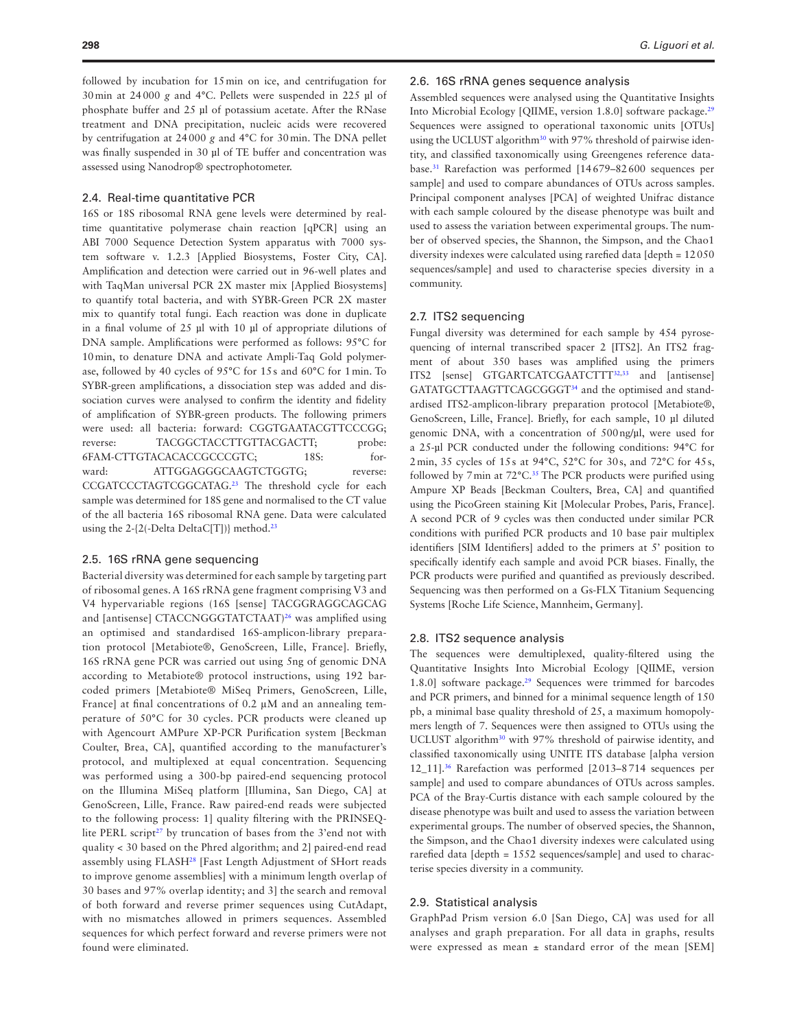followed by incubation for 15min on ice, and centrifugation for 30min at 24000 *g* and 4°C. Pellets were suspended in 225 µl of phosphate buffer and 25 µl of potassium acetate. After the RNase treatment and DNA precipitation, nucleic acids were recovered by centrifugation at 24000 *g* and 4°C for 30min. The DNA pellet was finally suspended in 30 µl of TE buffer and concentration was assessed using Nanodrop® spectrophotometer.

## 2.4. Real-time quantitative PCR

16S or 18S ribosomal RNA gene levels were determined by realtime quantitative polymerase chain reaction [qPCR] using an ABI 7000 Sequence Detection System apparatus with 7000 system software v. 1.2.3 [Applied Biosystems, Foster City, CA]. Amplification and detection were carried out in 96-well plates and with TaqMan universal PCR 2X master mix [Applied Biosystems] to quantify total bacteria, and with SYBR-Green PCR 2X master mix to quantify total fungi. Each reaction was done in duplicate in a final volume of 25 µl with 10 µl of appropriate dilutions of DNA sample. Amplifications were performed as follows: 95°C for 10min, to denature DNA and activate Ampli-Taq Gold polymerase, followed by 40 cycles of 95°C for 15s and 60°C for 1min. To SYBR-green amplifications, a dissociation step was added and dissociation curves were analysed to confirm the identity and fidelity of amplification of SYBR-green products. The following primers were used: all bacteria: forward: CGGTGAATACGTTCCCGG; reverse: TACGGCTACCTTGTTACGACTT; probe: 6FAM-CTTGTACACACCGCCCGTC; 18S: forward: ATTGGAGGGCAAGTCTGGTG; reverse: CCGATCCCTAGTCGGCATAG[.23](#page-8-22) The threshold cycle for each sample was determined for 18S gene and normalised to the CT value of the all bacteria 16S ribosomal RNA gene. Data were calculated using the 2- ${2(-Delta DeltaC[T])}$  method.<sup>23</sup>

### 2.5. 16S rRNA gene sequencing

Bacterial diversity was determined for each sample by targeting part of ribosomal genes. A 16S rRNA gene fragment comprising V3 and V4 hypervariable regions (16S [sense] TACGGRAGGCAGCAG and [antisense] CTACCNGGGTATCTAAT)<sup>[26](#page-8-25)</sup> was amplified using an optimised and standardised 16S-amplicon-library preparation protocol [Metabiote®, GenoScreen, Lille, France]. Briefly, 16S rRNA gene PCR was carried out using 5ng of genomic DNA according to Metabiote® protocol instructions, using 192 barcoded primers [Metabiote® MiSeq Primers, GenoScreen, Lille, France] at final concentrations of 0.2 μM and an annealing temperature of 50°C for 30 cycles. PCR products were cleaned up with Agencourt AMPure XP-PCR Purification system [Beckman Coulter, Brea, CA], quantified according to the manufacturer's protocol, and multiplexed at equal concentration. Sequencing was performed using a 300-bp paired-end sequencing protocol on the Illumina MiSeq platform [Illumina, San Diego, CA] at GenoScreen, Lille, France. Raw paired-end reads were subjected to the following process: 1] quality filtering with the PRINSEQ-lite PERL script<sup>[27](#page-8-26)</sup> by truncation of bases from the 3'end not with quality < 30 based on the Phred algorithm; and 2] paired-end read assembly using FLASH<sup>28</sup> [Fast Length Adjustment of SHort reads to improve genome assemblies] with a minimum length overlap of 30 bases and 97% overlap identity; and 3] the search and removal of both forward and reverse primer sequences using CutAdapt, with no mismatches allowed in primers sequences. Assembled sequences for which perfect forward and reverse primers were not found were eliminated.

### 2.6. 16S rRNA genes sequence analysis

Assembled sequences were analysed using the Quantitative Insights Into Microbial Ecology [QIIME, version 1.8.0] software package.<sup>[29](#page-8-28)</sup> Sequences were assigned to operational taxonomic units [OTUs] using the UCLUST algorithm<sup>30</sup> with 97% threshold of pairwise identity, and classified taxonomically using Greengenes reference database[.31](#page-8-30) Rarefaction was performed [14679–82600 sequences per sample] and used to compare abundances of OTUs across samples. Principal component analyses [PCA] of weighted Unifrac distance with each sample coloured by the disease phenotype was built and used to assess the variation between experimental groups. The number of observed species, the Shannon, the Simpson, and the Chao1 diversity indexes were calculated using rarefied data [depth = 12050 sequences/sample] and used to characterise species diversity in a community.

#### 2.7. ITS2 sequencing

Fungal diversity was determined for each sample by 454 pyrosequencing of internal transcribed spacer 2 [ITS2]. An ITS2 fragment of about 350 bases was amplified using the primers ITS2 [sense] GTGARTCATCGAATCTTT<sup>[32,](#page-8-31)[33](#page-8-32)</sup> and [antisense] GATATGCTTAAGTTCAGCGGGT[34](#page-8-33) and the optimised and standardised ITS2-amplicon-library preparation protocol [Metabiote®, GenoScreen, Lille, France]. Briefly, for each sample, 10 µl diluted genomic DNA, with a concentration of 500ng/µl, were used for a 25-µl PCR conducted under the following conditions: 94°C for 2min, 35 cycles of 15s at 94°C, 52°C for 30s, and 72°C for 45s, followed by 7 min at 72°C.<sup>[35](#page-8-34)</sup> The PCR products were purified using Ampure XP Beads [Beckman Coulters, Brea, CA] and quantified using the PicoGreen staining Kit [Molecular Probes, Paris, France]. A second PCR of 9 cycles was then conducted under similar PCR conditions with purified PCR products and 10 base pair multiplex identifiers [SIM Identifiers] added to the primers at 5' position to specifically identify each sample and avoid PCR biases. Finally, the PCR products were purified and quantified as previously described. Sequencing was then performed on a Gs-FLX Titanium Sequencing Systems [Roche Life Science, Mannheim, Germany].

#### 2.8. ITS2 sequence analysis

The sequences were demultiplexed, quality-filtered using the Quantitative Insights Into Microbial Ecology [QIIME, version 1.8.0] software package.<sup>29</sup> Sequences were trimmed for barcodes and PCR primers, and binned for a minimal sequence length of 150 pb, a minimal base quality threshold of 25, a maximum homopolymers length of 7. Sequences were then assigned to OTUs using the UCLUST algorithm<sup>30</sup> with 97% threshold of pairwise identity, and classified taxonomically using UNITE ITS database [alpha version 12\_11].[36](#page-8-35) Rarefaction was performed [2013–8714 sequences per sample] and used to compare abundances of OTUs across samples. PCA of the Bray-Curtis distance with each sample coloured by the disease phenotype was built and used to assess the variation between experimental groups. The number of observed species, the Shannon, the Simpson, and the Chao1 diversity indexes were calculated using rarefied data [depth = 1552 sequences/sample] and used to characterise species diversity in a community.

## 2.9. Statistical analysis

GraphPad Prism version 6.0 [San Diego, CA] was used for all analyses and graph preparation. For all data in graphs, results were expressed as mean  $\pm$  standard error of the mean [SEM]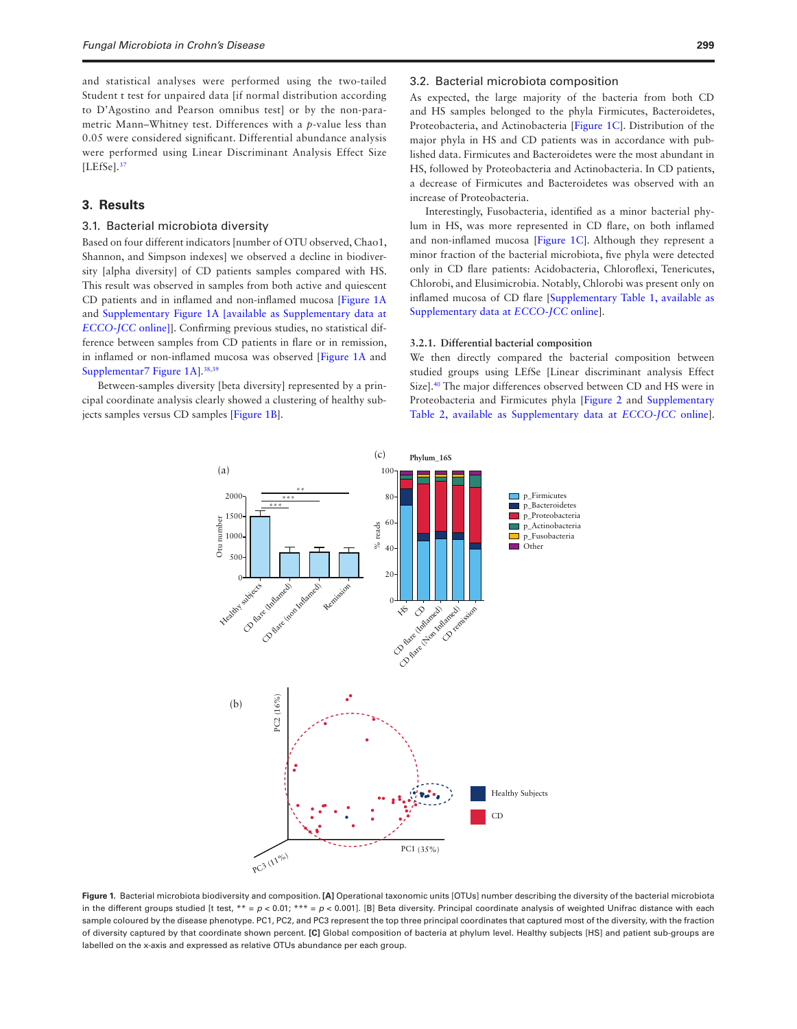and statistical analyses were performed using the two-tailed Student t test for unpaired data [if normal distribution according to D'Agostino and Pearson omnibus test] or by the non-parametric Mann–Whitney test. Differences with a *p*-value less than 0.05 were considered significant. Differential abundance analysis were performed using Linear Discriminant Analysis Effect Size  $[LEfSe].<sup>37</sup>$  $[LEfSe].<sup>37</sup>$  $[LEfSe].<sup>37</sup>$ 

## **3. Results**

## 3.1. Bacterial microbiota diversity

Based on four different indicators [number of OTU observed, Chao1, Shannon, and Simpson indexes] we observed a decline in biodiversity [alpha diversity] of CD patients samples compared with HS. This result was observed in samples from both active and quiescent CD patients and in inflamed and non-inflamed mucosa [\[Figure 1A](#page-3-0) and [Supplementary Figure 1A \[available as Supplementary data at](http://ecco-jcc.oxfordjournals.org/lookup/suppl/doi:10.1093/ecco-jcc/jjv209/-/DC1) *[ECCO-JCC](http://ecco-jcc.oxfordjournals.org/lookup/suppl/doi:10.1093/ecco-jcc/jjv209/-/DC1)* online]]. Confirming previous studies, no statistical difference between samples from CD patients in flare or in remission, in inflamed or non-inflamed mucosa was observed [\[Figure 1A](#page-3-0) and [Supplementar7 Figure 1A\]](http://ecco-jcc.oxfordjournals.org/lookup/suppl/doi:10.1093/ecco-jcc/jjv209/-/DC1)[.38,](#page-8-37)[39](#page-9-0)

Between-samples diversity [beta diversity] represented by a principal coordinate analysis clearly showed a clustering of healthy subjects samples versus CD samples [[Figure 1B\]](#page-3-0).

#### 3.2. Bacterial microbiota composition

As expected, the large majority of the bacteria from both CD and HS samples belonged to the phyla Firmicutes, Bacteroidetes, Proteobacteria, and Actinobacteria [\[Figure 1C](#page-3-0)]. Distribution of the major phyla in HS and CD patients was in accordance with published data. Firmicutes and Bacteroidetes were the most abundant in HS, followed by Proteobacteria and Actinobacteria. In CD patients, a decrease of Firmicutes and Bacteroidetes was observed with an increase of Proteobacteria.

Interestingly, Fusobacteria, identified as a minor bacterial phylum in HS, was more represented in CD flare, on both inflamed and non-inflamed mucosa [[Figure 1C](#page-3-0)]. Although they represent a minor fraction of the bacterial microbiota, five phyla were detected only in CD flare patients: Acidobacteria, Chloroflexi, Tenericutes, Chlorobi, and Elusimicrobia. Notably, Chlorobi was present only on inflamed mucosa of CD flare [[Supplementary Table 1, available as](http://ecco-jcc.oxfordjournals.org/lookup/suppl/doi:10.1093/ecco-jcc/jjv209/-/DC1) [Supplementary data at](http://ecco-jcc.oxfordjournals.org/lookup/suppl/doi:10.1093/ecco-jcc/jjv209/-/DC1) *ECCO-JCC* online].

#### **3.2.1. Differential bacterial composition**

We then directly compared the bacterial composition between studied groups using LEfSe [Linear discriminant analysis Effect Size][.40](#page-9-1) The major differences observed between CD and HS were in Proteobacteria and Firmicutes phyla [[Figure 2](#page-4-0) and [Supplementary](http://ecco-jcc.oxfordjournals.org/lookup/suppl/doi:10.1093/ecco-jcc/jjv209/-/DC1) [Table 2, available as Supplementary data at](http://ecco-jcc.oxfordjournals.org/lookup/suppl/doi:10.1093/ecco-jcc/jjv209/-/DC1) *ECCO-JCC* online].



<span id="page-3-0"></span>**Figure 1.** Bacterial microbiota biodiversity and composition**. [A]** Operational taxonomic units [OTUs] number describing the diversity of the bacterial microbiota in the different groups studied [t test,  $** = p < 0.01$ ;  $*** = p < 0.001$ ]. [B] Beta diversity. Principal coordinate analysis of weighted Unifrac distance with each sample coloured by the disease phenotype. PC1, PC2, and PC3 represent the top three principal coordinates that captured most of the diversity, with the fraction of diversity captured by that coordinate shown percent. **[C]** Global composition of bacteria at phylum level. Healthy subjects [HS] and patient sub-groups are labelled on the x-axis and expressed as relative OTUs abundance per each group.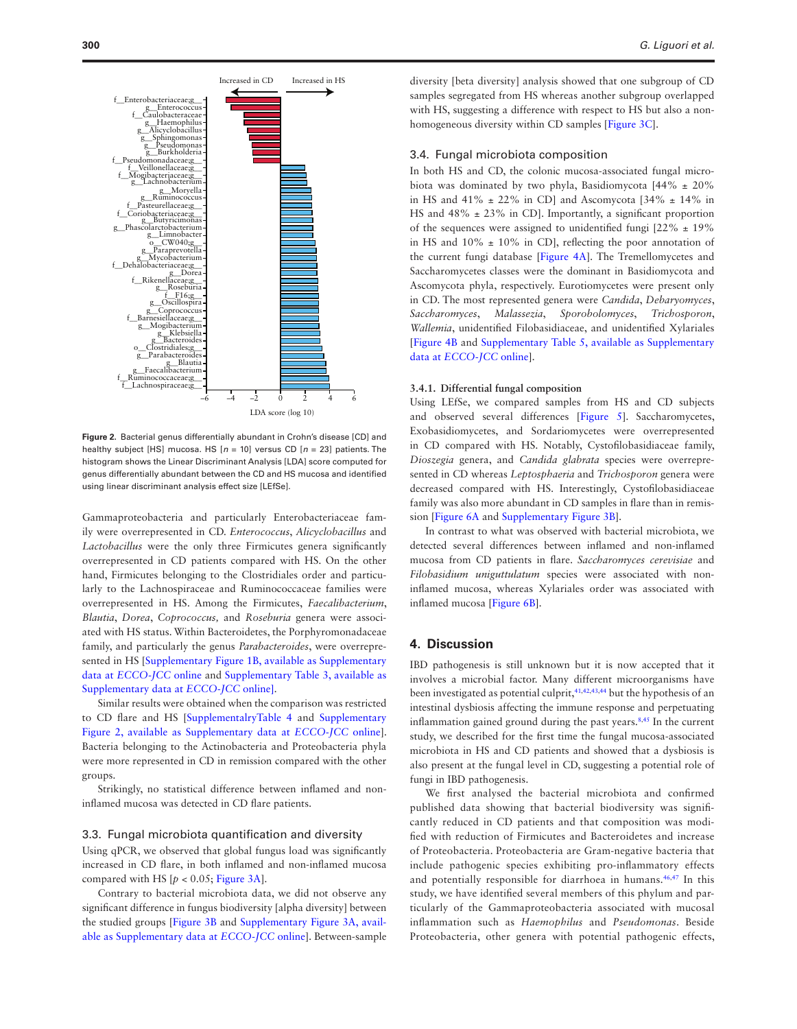

<span id="page-4-0"></span>**Figure 2.** Bacterial genus differentially abundant in Crohn's disease [CD] and healthy subject [HS] mucosa. HS [*n* = 10] versus CD [*n* = 23] patients. The histogram shows the Linear Discriminant Analysis [LDA] score computed for genus differentially abundant between the CD and HS mucosa and identified using linear discriminant analysis effect size [LEfSe].

Gammaproteobacteria and particularly Enterobacteriaceae family were overrepresented in CD. *Enterococcus*, *Alicyclobacillus* and *Lactobacillus* were the only three Firmicutes genera significantly overrepresented in CD patients compared with HS. On the other hand, Firmicutes belonging to the Clostridiales order and particularly to the Lachnospiraceae and Ruminococcaceae families were overrepresented in HS. Among the Firmicutes, *Faecalibacterium*, *Blautia*, *Dorea*, *Coprococcus,* and *Roseburia* genera were associated with HS status. Within Bacteroidetes, the Porphyromonadaceae family, and particularly the genus *Parabacteroides*, were overrepresented in HS [[Supplementary Figure 1B, available as Supplementary](http://ecco-jcc.oxfordjournals.org/lookup/suppl/doi:10.1093/ecco-jcc/jjv209/-/DC1) data at *[ECCO-JCC](http://ecco-jcc.oxfordjournals.org/lookup/suppl/doi:10.1093/ecco-jcc/jjv209/-/DC1)* online and [Supplementary Table 3, available as](http://ecco-jcc.oxfordjournals.org/lookup/suppl/doi:10.1093/ecco-jcc/jjv209/-/DC1) [Supplementary data at](http://ecco-jcc.oxfordjournals.org/lookup/suppl/doi:10.1093/ecco-jcc/jjv209/-/DC1) *ECCO-JCC* online].

Similar results were obtained when the comparison was restricted to CD flare and HS [[SupplementalryTable 4](http://ecco-jcc.oxfordjournals.org/lookup/suppl/doi:10.1093/ecco-jcc/jjv209/-/DC1) and [Supplementary](http://ecco-jcc.oxfordjournals.org/lookup/suppl/doi:10.1093/ecco-jcc/jjv209/-/DC1) [Figure 2, available as Supplementary data at](http://ecco-jcc.oxfordjournals.org/lookup/suppl/doi:10.1093/ecco-jcc/jjv209/-/DC1) *ECCO-JCC* online]. Bacteria belonging to the Actinobacteria and Proteobacteria phyla were more represented in CD in remission compared with the other groups.

Strikingly, no statistical difference between inflamed and noninflamed mucosa was detected in CD flare patients.

#### 3.3. Fungal microbiota quantification and diversity

Using qPCR, we observed that global fungus load was significantly increased in CD flare, in both inflamed and non-inflamed mucosa compared with HS  $[p < 0.05$ ; [Figure 3A\]](#page-5-0).

Contrary to bacterial microbiota data, we did not observe any significant difference in fungus biodiversity [alpha diversity] between the studied groups [[Figure 3B](#page-5-0) and [Supplementary Figure 3A, avail](http://ecco-jcc.oxfordjournals.org/lookup/suppl/doi:10.1093/ecco-jcc/jjv209/-/DC1)[able as Supplementary data at](http://ecco-jcc.oxfordjournals.org/lookup/suppl/doi:10.1093/ecco-jcc/jjv209/-/DC1) *ECCO-JCC* online]. Between-sample

diversity [beta diversity] analysis showed that one subgroup of CD samples segregated from HS whereas another subgroup overlapped with HS, suggesting a difference with respect to HS but also a nonhomogeneous diversity within CD samples [\[Figure 3C](#page-5-0)].

## 3.4. Fungal microbiota composition

In both HS and CD, the colonic mucosa-associated fungal microbiota was dominated by two phyla, Basidiomycota [44% ± 20% in HS and  $41\% \pm 22\%$  in CD] and Ascomycota [34\%  $\pm$  14\% in HS and 48% ± 23% in CD]. Importantly, a significant proportion of the sequences were assigned to unidentified fungi  $[22\% \pm 19\%]$ in HS and  $10\% \pm 10\%$  in CD], reflecting the poor annotation of the current fungi database [\[Figure 4A\]](#page-6-0). The Tremellomycetes and Saccharomycetes classes were the dominant in Basidiomycota and Ascomycota phyla, respectively. Eurotiomycetes were present only in CD. The most represented genera were *Candida*, *Debaryomyces*, *Saccharomyces*, *Malassezia*, *Sporobolomyces*, *Trichosporon*, *Wallemia*, unidentified Filobasidiaceae, and unidentified Xylariales [[Figure 4B](#page-6-0) and [Supplementary Table 5, available as Supplementary](http://ecco-jcc.oxfordjournals.org/lookup/suppl/doi:10.1093/ecco-jcc/jjv209/-/DC1) data at *[ECCO-JCC](http://ecco-jcc.oxfordjournals.org/lookup/suppl/doi:10.1093/ecco-jcc/jjv209/-/DC1)* online].

## **3.4.1. Differential fungal composition**

Using LEfSe, we compared samples from HS and CD subjects and observed several differences [\[Figure 5](#page-7-0)]. Saccharomycetes, Exobasidiomycetes, and Sordariomycetes were overrepresented in CD compared with HS. Notably, Cystofilobasidiaceae family, *Dioszegia* genera, and *Candida glabrata* species were overrepresented in CD whereas *Leptosphaeria* and *Trichosporon* genera were decreased compared with HS. Interestingly, Cystofilobasidiaceae family was also more abundant in CD samples in flare than in remission [\[Figure 6A](#page-7-1) and [Supplementary Figure 3B\]](http://ecco-jcc.oxfordjournals.org/lookup/suppl/doi:10.1093/ecco-jcc/jjv209/-/DC1).

In contrast to what was observed with bacterial microbiota, we detected several differences between inflamed and non-inflamed mucosa from CD patients in flare. *Saccharomyces cerevisiae* and *Filobasidium uniguttulatum* species were associated with noninflamed mucosa, whereas Xylariales order was associated with inflamed mucosa [\[Figure 6B\]](#page-7-1).

## **4. Discussion**

IBD pathogenesis is still unknown but it is now accepted that it involves a microbial factor. Many different microorganisms have been investigated as potential culprit,<sup>[41,](#page-9-2)[42](#page-9-3),[43,](#page-9-4)[44](#page-9-5)</sup> but the hypothesis of an intestinal dysbiosis affecting the immune response and perpetuating inflammation gained ground during the past years.<sup>8,45</sup> In the current study, we described for the first time the fungal mucosa-associated microbiota in HS and CD patients and showed that a dysbiosis is also present at the fungal level in CD, suggesting a potential role of fungi in IBD pathogenesis.

We first analysed the bacterial microbiota and confirmed published data showing that bacterial biodiversity was significantly reduced in CD patients and that composition was modified with reduction of Firmicutes and Bacteroidetes and increase of Proteobacteria. Proteobacteria are Gram-negative bacteria that include pathogenic species exhibiting pro-inflammatory effects and potentially responsible for diarrhoea in humans.<sup>[46](#page-9-7),47</sup> In this study, we have identified several members of this phylum and particularly of the Gammaproteobacteria associated with mucosal inflammation such as *Haemophilus* and *Pseudomonas*. Beside Proteobacteria, other genera with potential pathogenic effects,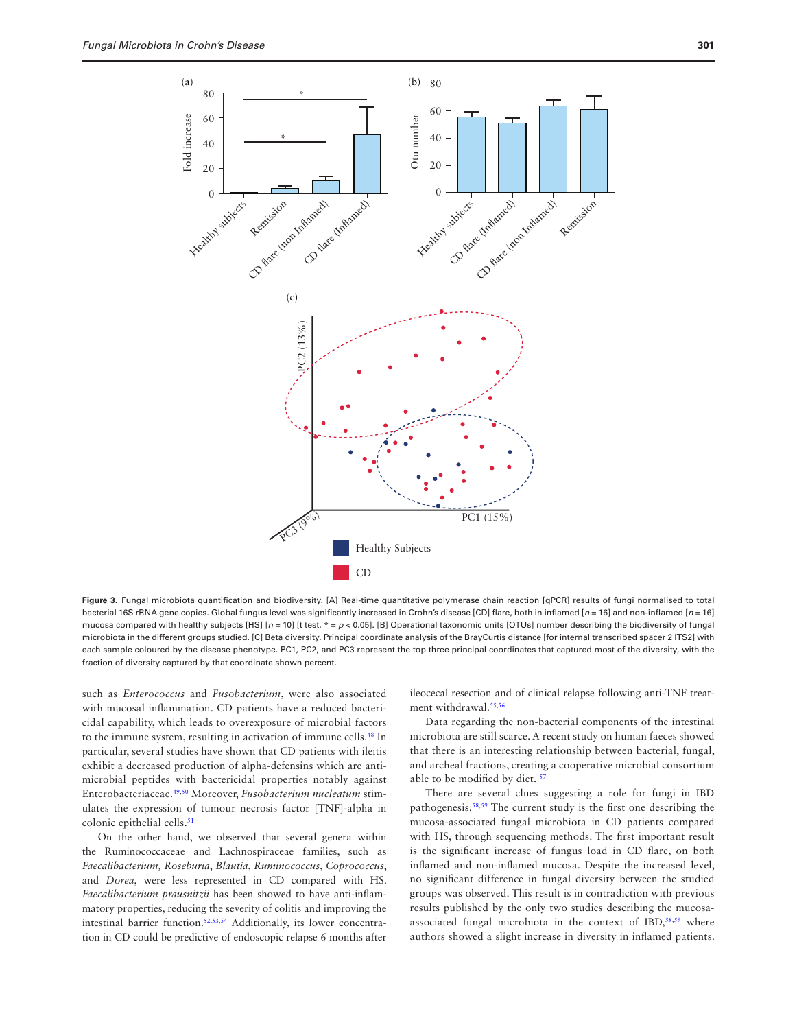

**Figure 3.** Fungal microbiota quantification and biodiversity. [A] Real-time quantitative polymerase chain reaction [qPCR] results of fungi normalised to total bacterial 16S rRNA gene copies. Global fungus level was significantly increased in Crohn's disease [CD] flare, both in inflamed [*n* = 16] and non-inflamed [*n* = 16] mucosa compared with healthy subjects [HS] [*n* = 10] [t test, \* = *p* < 0.05]. [B] Operational taxonomic units [OTUs] number describing the biodiversity of fungal microbiota in the different groups studied. [C] Beta diversity. Principal coordinate analysis of the BrayCurtis distance [for internal transcribed spacer 2 ITS2] with each sample coloured by the disease phenotype. PC1, PC2, and PC3 represent the top three principal coordinates that captured most of the diversity, with the fraction of diversity captured by that coordinate shown percent.

such as *Enterococcus* and *Fusobacterium*, were also associated with mucosal inflammation. CD patients have a reduced bactericidal capability, which leads to overexposure of microbial factors to the immune system, resulting in activation of immune cells[.48](#page-9-9) In particular, several studies have shown that CD patients with ileitis exhibit a decreased production of alpha-defensins which are antimicrobial peptides with bactericidal properties notably against Enterobacteriaceae.[49](#page-9-10),[50](#page-9-11) Moreover, *Fusobacterium nucleatum* stimulates the expression of tumour necrosis factor [TNF]-alpha in colonic epithelial cells.<sup>[51](#page-9-12)</sup>

On the other hand, we observed that several genera within the Ruminococcaceae and Lachnospiraceae families, such as *Faecalibacterium, Roseburia*, *Blautia*, *Ruminococcus*, *Coprococcus*, and *Dorea*, were less represented in CD compared with HS. *Faecalibacterium prausnitzii* has been showed to have anti-inflammatory properties, reducing the severity of colitis and improving the intestinal barrier function.[52,](#page-9-13)[53](#page-9-14),[54](#page-9-15) Additionally, its lower concentration in CD could be predictive of endoscopic relapse 6 months after <span id="page-5-0"></span>ileocecal resection and of clinical relapse following anti-TNF treatment withdrawal[.55,](#page-9-16)[56](#page-9-17)

Data regarding the non-bacterial components of the intestinal microbiota are still scarce. A recent study on human faeces showed that there is an interesting relationship between bacterial, fungal, and archeal fractions, creating a cooperative microbial consortium able to be modified by diet.<sup>[57](#page-9-18)</sup>

There are several clues suggesting a role for fungi in IBD pathogenesis.<sup>[58](#page-9-19),59</sup> The current study is the first one describing the mucosa-associated fungal microbiota in CD patients compared with HS, through sequencing methods. The first important result is the significant increase of fungus load in CD flare, on both inflamed and non-inflamed mucosa. Despite the increased level, no significant difference in fungal diversity between the studied groups was observed. This result is in contradiction with previous results published by the only two studies describing the mucosa-associated fungal microbiota in the context of IBD,<sup>58,[59](#page-9-20)</sup> where authors showed a slight increase in diversity in inflamed patients.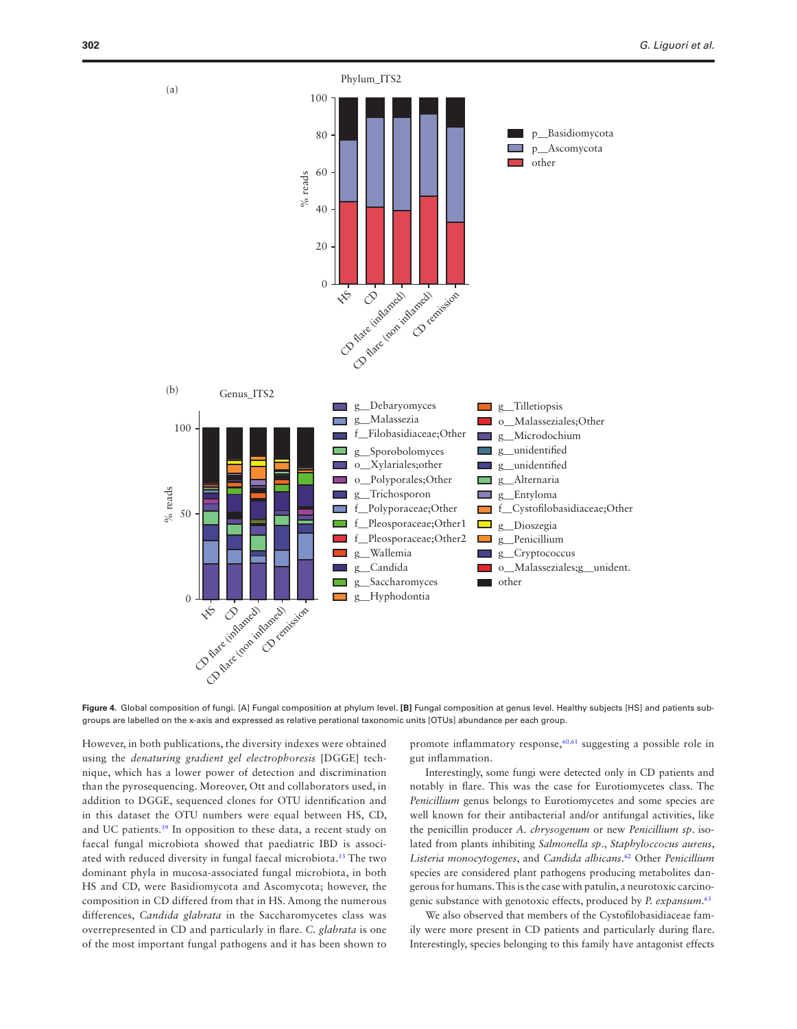

<span id="page-6-0"></span>**Figure 4.** Global composition of fungi. [A] Fungal composition at phylum level**. [B]** Fungal composition at genus level. Healthy subjects [HS] and patients subgroups are labelled on the x-axis and expressed as relative perational taxonomic units [OTUs] abundance per each group.

However, in both publications, the diversity indexes were obtained using the *denaturing gradient gel electrophoresis* [DGGE] technique, which has a lower power of detection and discrimination than the pyrosequencing. Moreover, Ott and collaborators used, in addition to DGGE, sequenced clones for OTU identification and in this dataset the OTU numbers were equal between HS, CD, and UC patients.<sup>59</sup> In opposition to these data, a recent study on faecal fungal microbiota showed that paediatric IBD is associated with reduced diversity in fungal faecal microbiota[.13](#page-8-12) The two dominant phyla in mucosa-associated fungal microbiota, in both HS and CD, were Basidiomycota and Ascomycota; however, the composition in CD differed from that in HS. Among the numerous differences, *Candida glabrata* in the Saccharomycetes class was overrepresented in CD and particularly in flare. *C. glabrata* is one of the most important fungal pathogens and it has been shown to

promote inflammatory response, $60,61$  $60,61$  suggesting a possible role in gut inflammation.

Interestingly, some fungi were detected only in CD patients and notably in flare. This was the case for Eurotiomycetes class. The *Penicillium* genus belongs to Eurotiomycetes and some species are well known for their antibacterial and/or antifungal activities, like the penicillin producer *A. chrysogenum* or new *Penicillium sp*. isolated from plants inhibiting *Salmonella sp*., *Staphyloccocus aureus*, *Listeria monocytogenes*, and *Candida albicans*. [62](#page-9-23) Other *Penicillium* species are considered plant pathogens producing metabolites dangerous for humans. This is the case with patulin, a neurotoxic carcinogenic substance with genotoxic effects, produced by *P. expansum*. [63](#page-9-24)

We also observed that members of the Cystofilobasidiaceae family were more present in CD patients and particularly during flare. Interestingly, species belonging to this family have antagonist effects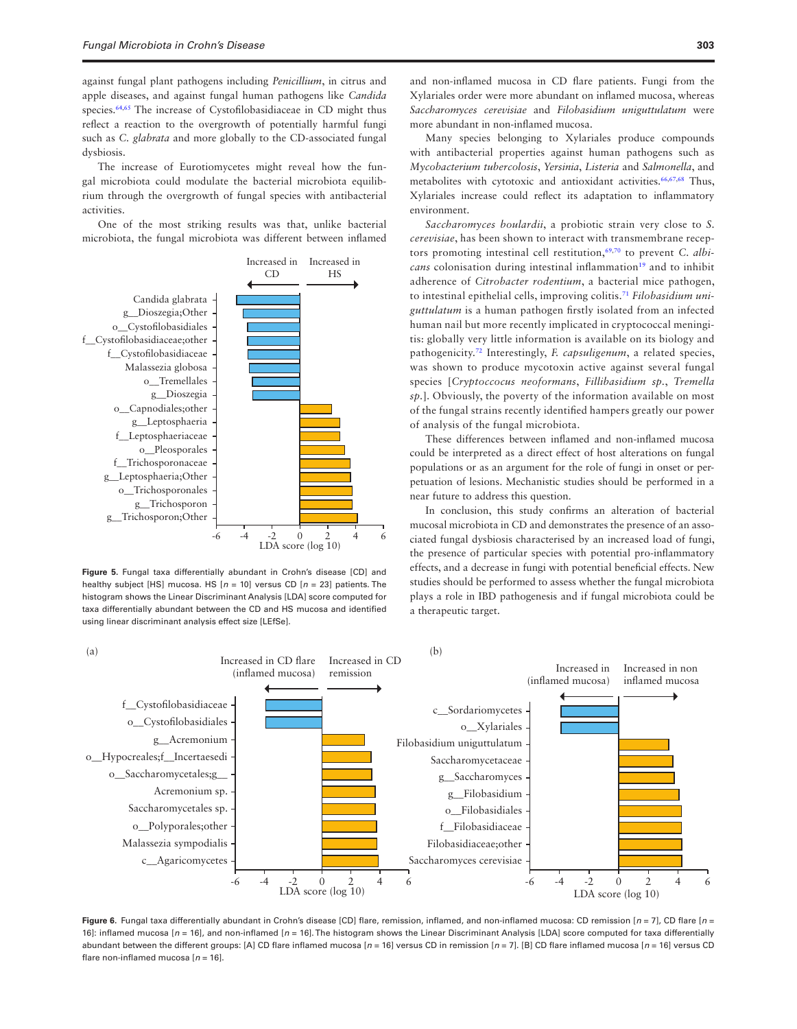against fungal plant pathogens including *Penicillium*, in citrus and apple diseases, and against fungal human pathogens like *Candida* species.<sup>[64](#page-9-25),65</sup> The increase of Cystofilobasidiaceae in CD might thus reflect a reaction to the overgrowth of potentially harmful fungi such as *C. glabrata* and more globally to the CD-associated fungal dysbiosis.

The increase of Eurotiomycetes might reveal how the fungal microbiota could modulate the bacterial microbiota equilibrium through the overgrowth of fungal species with antibacterial activities.

One of the most striking results was that, unlike bacterial microbiota, the fungal microbiota was different between inflamed



<span id="page-7-0"></span>**Figure 5.** Fungal taxa differentially abundant in Crohn's disease [CD] and healthy subject [HS] mucosa. HS [*n* = 10] versus CD [*n* = 23] patients. The histogram shows the Linear Discriminant Analysis [LDA] score computed for taxa differentially abundant between the CD and HS mucosa and identified using linear discriminant analysis effect size [LEfSe].

Many species belonging to Xylariales produce compounds with antibacterial properties against human pathogens such as *Mycobacterium tubercolosis*, *Yersinia*, *Listeria* and *Salmonella*, and metabolites with cytotoxic and antioxidant activities.<sup>[66](#page-9-27)[,67,](#page-9-28)[68](#page-9-29)</sup> Thus, Xylariales increase could reflect its adaptation to inflammatory environment.

*Saccharomyces boulardii*, a probiotic strain very close to *S. cerevisiae*, has been shown to interact with transmembrane recep-tors promoting intestinal cell restitution,<sup>69,[70](#page-9-31)</sup> to prevent *C. albicans* colonisation during intestinal inflammation<sup>[19](#page-8-18)</sup> and to inhibit adherence of *Citrobacter rodentium*, a bacterial mice pathogen, to intestinal epithelial cells, improving colitis[.71](#page-9-32) *Filobasidium uniguttulatum* is a human pathogen firstly isolated from an infected human nail but more recently implicated in cryptococcal meningitis: globally very little information is available on its biology and pathogenicity.[72](#page-9-33) Interestingly, *F. capsuligenum*, a related species, was shown to produce mycotoxin active against several fungal species [*Cryptoccocus neoformans*, *Fillibasidium sp.*, *Tremella sp.*]. Obviously, the poverty of the information available on most of the fungal strains recently identified hampers greatly our power of analysis of the fungal microbiota.

These differences between inflamed and non-inflamed mucosa could be interpreted as a direct effect of host alterations on fungal populations or as an argument for the role of fungi in onset or perpetuation of lesions. Mechanistic studies should be performed in a near future to address this question.

In conclusion, this study confirms an alteration of bacterial mucosal microbiota in CD and demonstrates the presence of an associated fungal dysbiosis characterised by an increased load of fungi, the presence of particular species with potential pro-inflammatory effects, and a decrease in fungi with potential beneficial effects. New studies should be performed to assess whether the fungal microbiota plays a role in IBD pathogenesis and if fungal microbiota could be a therapeutic target.



<span id="page-7-1"></span>**Figure 6.** Fungal taxa differentially abundant in Crohn's disease [CD] flare, remission, inflamed, and non-inflamed mucosa: CD remission [*n* = 7], CD flare [*n* = 16]: inflamed mucosa [*n* = 16], and non-inflamed [*n* = 16]. The histogram shows the Linear Discriminant Analysis [LDA] score computed for taxa differentially abundant between the different groups: [A] CD flare inflamed mucosa [*n* = 16] versus CD in remission [*n* = 7]. [B] CD flare inflamed mucosa [*n* = 16] versus CD flare non-inflamed mucosa [*n* = 16].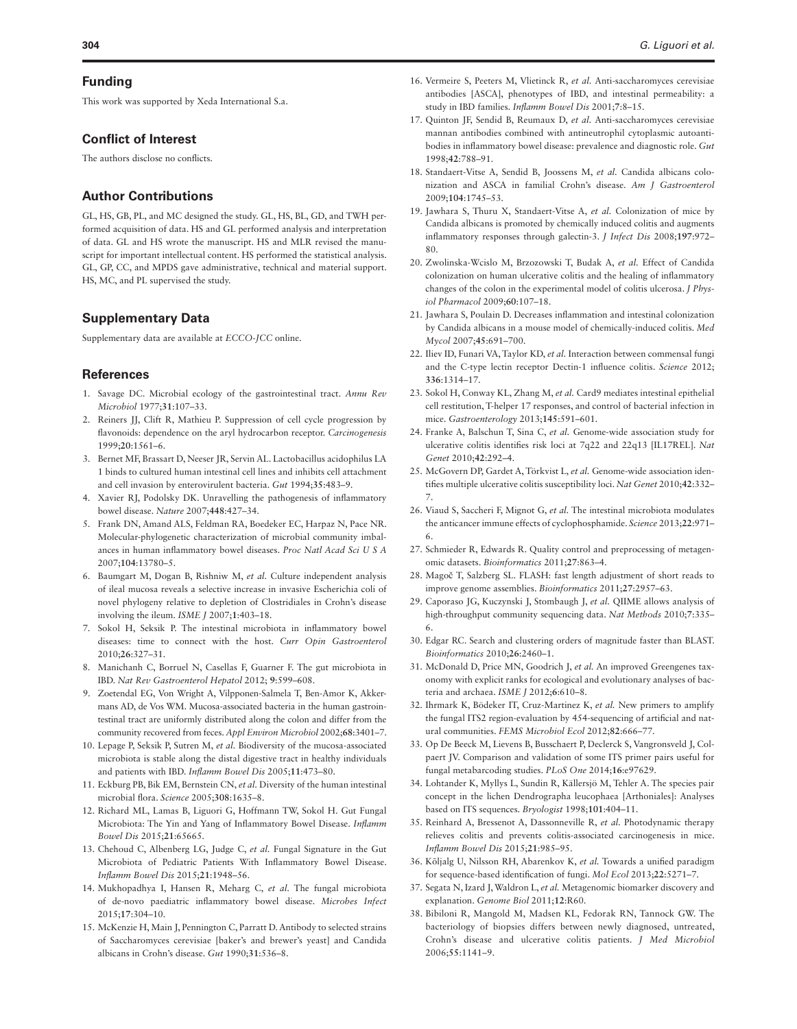### **Funding**

This work was supported by Xeda International S.a.

## **Conflict of Interest**

The authors disclose no conflicts.

## **Author Contributions**

GL, HS, GB, PL, and MC designed the study. GL, HS, BL, GD, and TWH performed acquisition of data. HS and GL performed analysis and interpretation of data. GL and HS wrote the manuscript. HS and MLR revised the manuscript for important intellectual content. HS performed the statistical analysis. GL, GP, CC, and MPDS gave administrative, technical and material support. HS, MC, and PL supervised the study.

## **Supplementary Data**

Supplementary data are available at *ECCO-JCC* online.

## **References**

- <span id="page-8-0"></span>1. Savage DC. Microbial ecology of the gastrointestinal tract. *Annu Rev Microbiol* 1977;**31**:107–33.
- <span id="page-8-1"></span>2. Reiners JJ, Clift R, Mathieu P. Suppression of cell cycle progression by flavonoids: dependence on the aryl hydrocarbon receptor. *Carcinogenesis* 1999;**20**:1561–6.
- <span id="page-8-2"></span>3. Bernet MF, Brassart D, Neeser JR, Servin AL. Lactobacillus acidophilus LA 1 binds to cultured human intestinal cell lines and inhibits cell attachment and cell invasion by enterovirulent bacteria. *Gut* 1994;**35**:483–9.
- <span id="page-8-3"></span>4. Xavier RJ, Podolsky DK. Unravelling the pathogenesis of inflammatory bowel disease. *Nature* 2007;**448**:427–34.
- <span id="page-8-4"></span>5. Frank DN, Amand ALS, Feldman RA, Boedeker EC, Harpaz N, Pace NR. Molecular-phylogenetic characterization of microbial community imbalances in human inflammatory bowel diseases. *Proc Natl Acad Sci U S A* 2007;**104**:13780–5.
- <span id="page-8-5"></span>6. Baumgart M, Dogan B, Rishniw M, *et al.* Culture independent analysis of ileal mucosa reveals a selective increase in invasive Escherichia coli of novel phylogeny relative to depletion of Clostridiales in Crohn's disease involving the ileum. *ISME J* 2007;**1**:403–18.
- <span id="page-8-6"></span>7. Sokol H, Seksik P. The intestinal microbiota in inflammatory bowel diseases: time to connect with the host. *Curr Opin Gastroenterol* 2010;**26**:327–31.
- <span id="page-8-7"></span>8. Manichanh C, Borruel N, Casellas F, Guarner F. The gut microbiota in IBD. *Nat Rev Gastroenterol Hepatol* 2012; **9**:599–608.
- <span id="page-8-8"></span>9. Zoetendal EG, Von Wright A, Vilpponen-Salmela T, Ben-Amor K, Akkermans AD, de Vos WM. Mucosa-associated bacteria in the human gastrointestinal tract are uniformly distributed along the colon and differ from the community recovered from feces. *Appl Environ Microbiol* 2002;**68**:3401–7.
- <span id="page-8-9"></span>10. Lepage P, Seksik P, Sutren M, *et al.* Biodiversity of the mucosa-associated microbiota is stable along the distal digestive tract in healthy individuals and patients with IBD. *Inflamm Bowel Dis* 2005;**11**:473–80.
- <span id="page-8-10"></span>11. Eckburg PB, Bik EM, Bernstein CN, *et al.* Diversity of the human intestinal microbial flora. *Science* 2005;**308**:1635–8.
- <span id="page-8-11"></span>12. Richard ML, Lamas B, Liguori G, Hoffmann TW, Sokol H. Gut Fungal Microbiota: The Yin and Yang of Inflammatory Bowel Disease. *Inflamm Bowel Dis* 2015;**21**:65665.
- <span id="page-8-12"></span>13. Chehoud C, Albenberg LG, Judge C, *et al.* Fungal Signature in the Gut Microbiota of Pediatric Patients With Inflammatory Bowel Disease. *Inflamm Bowel Dis* 2015;**21**:1948–56.
- <span id="page-8-13"></span>14. Mukhopadhya I, Hansen R, Meharg C, *et al.* The fungal microbiota of de-novo paediatric inflammatory bowel disease. *Microbes Infect* 2015;**17**:304–10.
- <span id="page-8-14"></span>15. McKenzie H, Main J, Pennington C, Parratt D. Antibody to selected strains of Saccharomyces cerevisiae [baker's and brewer's yeast] and Candida albicans in Crohn's disease. *Gut* 1990;**31**:536–8.
- <span id="page-8-15"></span>16. Vermeire S, Peeters M, Vlietinck R, *et al.* Anti-saccharomyces cerevisiae antibodies [ASCA], phenotypes of IBD, and intestinal permeability: a study in IBD families. *Inflamm Bowel Dis* 2001;**7**:8–15.
- <span id="page-8-16"></span>17. Quinton JF, Sendid B, Reumaux D, *et al.* Anti-saccharomyces cerevisiae mannan antibodies combined with antineutrophil cytoplasmic autoantibodies in inflammatory bowel disease: prevalence and diagnostic role. *Gut* 1998;**42**:788–91.
- <span id="page-8-17"></span>18. Standaert-Vitse A, Sendid B, Joossens M, *et al.* Candida albicans colonization and ASCA in familial Crohn's disease. *Am J Gastroenterol* 2009;**104**:1745–53.
- <span id="page-8-18"></span>19. Jawhara S, Thuru X, Standaert-Vitse A, *et al.* Colonization of mice by Candida albicans is promoted by chemically induced colitis and augments inflammatory responses through galectin-3. *J Infect Dis* 2008;**197**:972– 80.
- <span id="page-8-19"></span>20. Zwolinska-Wcislo M, Brzozowski T, Budak A, *et al.* Effect of Candida colonization on human ulcerative colitis and the healing of inflammatory changes of the colon in the experimental model of colitis ulcerosa. *J Physiol Pharmacol* 2009;**60**:107–18.
- <span id="page-8-20"></span>21. Jawhara S, Poulain D. Decreases inflammation and intestinal colonization by Candida albicans in a mouse model of chemically-induced colitis. *Med Mycol* 2007;**45**:691–700.
- <span id="page-8-21"></span>22. Iliev ID, Funari VA, Taylor KD, *et al.* Interaction between commensal fungi and the C-type lectin receptor Dectin-1 influence colitis. *Science* 2012; **336**:1314–17.
- <span id="page-8-22"></span>23. Sokol H, Conway KL, Zhang M, *et al.* Card9 mediates intestinal epithelial cell restitution, T-helper 17 responses, and control of bacterial infection in mice. *Gastroenterology* 2013;**145**:591–601.
- <span id="page-8-23"></span>24. Franke A, Balschun T, Sina C, *et al.* Genome-wide association study for ulcerative colitis identifies risk loci at 7q22 and 22q13 [IL17REL]. *Nat Genet* 2010;**42**:292–4.
- <span id="page-8-24"></span>25. McGovern DP, Gardet A, Törkvist L, *et al.* Genome-wide association identifies multiple ulcerative colitis susceptibility loci. *Nat Genet* 2010;**42**:332– 7.
- <span id="page-8-25"></span>26. Viaud S, Saccheri F, Mignot G, *et al.* The intestinal microbiota modulates the anticancer immune effects of cyclophosphamide. *Science* 2013;**22**:971– 6.
- <span id="page-8-26"></span>27. Schmieder R, Edwards R. Quality control and preprocessing of metagenomic datasets. *Bioinformatics* 2011;**27**:863–4.
- <span id="page-8-27"></span>28. Magoč T, Salzberg SL. FLASH: fast length adjustment of short reads to improve genome assemblies. *Bioinformatics* 2011;**27**:2957–63.
- <span id="page-8-28"></span>29. Caporaso JG, Kuczynski J, Stombaugh J, *et al.* QIIME allows analysis of high-throughput community sequencing data. *Nat Methods* 2010;**7**:335– 6.
- <span id="page-8-29"></span>30. Edgar RC. Search and clustering orders of magnitude faster than BLAST. *Bioinformatics* 2010;**26**:2460–1.
- <span id="page-8-30"></span>31. McDonald D, Price MN, Goodrich J, *et al.* An improved Greengenes taxonomy with explicit ranks for ecological and evolutionary analyses of bacteria and archaea. *ISME J* 2012;**6**:610–8.
- <span id="page-8-31"></span>32. Ihrmark K, Bödeker IT, Cruz-Martinez K, *et al.* New primers to amplify the fungal ITS2 region-evaluation by 454-sequencing of artificial and natural communities. *FEMS Microbiol Ecol* 2012;**82**:666–77.
- <span id="page-8-32"></span>33. Op De Beeck M, Lievens B, Busschaert P, Declerck S, Vangronsveld J, Colpaert JV. Comparison and validation of some ITS primer pairs useful for fungal metabarcoding studies. *PLoS One* 2014;**16**:e97629.
- <span id="page-8-33"></span>34. Lohtander K, Myllys L, Sundin R, Källersjö M, Tehler A. The species pair concept in the lichen Dendrographa leucophaea [Arthoniales]: Analyses based on ITS sequences. *Bryologist* 1998;**101**:404–11.
- <span id="page-8-34"></span>35. Reinhard A, Bressenot A, Dassonneville R, *et al.* Photodynamic therapy relieves colitis and prevents colitis-associated carcinogenesis in mice. *Inflamm Bowel Dis* 2015;**21**:985–95.
- <span id="page-8-35"></span>36. Kõljalg U, Nilsson RH, Abarenkov K, *et al.* Towards a unified paradigm for sequence-based identification of fungi. *Mol Ecol* 2013;**22**:5271–7.
- <span id="page-8-36"></span>37. Segata N, Izard J, Waldron L, *et al.* Metagenomic biomarker discovery and explanation. *Genome Biol* 2011;**12**:R60.
- <span id="page-8-37"></span>38. Bibiloni R, Mangold M, Madsen KL, Fedorak RN, Tannock GW. The bacteriology of biopsies differs between newly diagnosed, untreated, Crohn's disease and ulcerative colitis patients. *J Med Microbiol* 2006;**55**:1141–9.